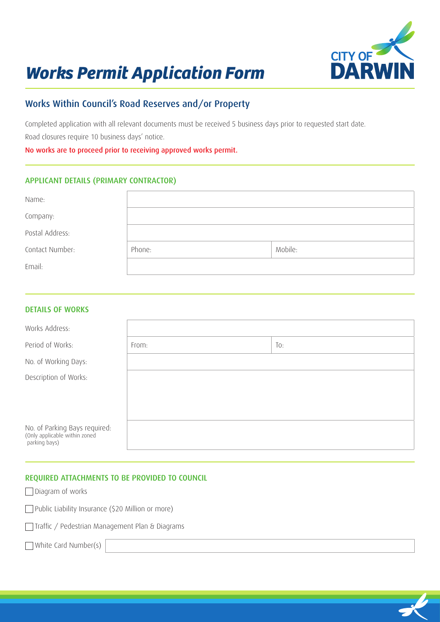

# *Works Permit Application Form*

# Works Within Council's Road Reserves and/or Property

Completed application with all relevant documents must be received 5 business days prior to requested start date. Road closures require 10 business days' notice.

No works are to proceed prior to receiving approved works permit.

# APPLICANT DETAILS (PRIMARY CONTRACTOR)

| Name:           |        |         |
|-----------------|--------|---------|
| Company:        |        |         |
| Postal Address: |        |         |
| Contact Number: | Phone: | Mobile: |
| Email:          |        |         |

#### DETAILS OF WORKS

| Works Address:                                                                  |       |     |
|---------------------------------------------------------------------------------|-------|-----|
| Period of Works:                                                                | From: | To: |
| No. of Working Days:                                                            |       |     |
| Description of Works:                                                           |       |     |
|                                                                                 |       |     |
|                                                                                 |       |     |
| No. of Parking Bays required:<br>(Only applicable within zoned<br>parking bays) |       |     |

# REQUIRED ATTACHMENTS TO BE PROVIDED TO COUNCIL

| Diagram of works |  |  |
|------------------|--|--|
|------------------|--|--|

Public Liability Insurance (\$20 Million or more)

Traffic / Pedestrian Management Plan & Diagrams

White Card Number(s)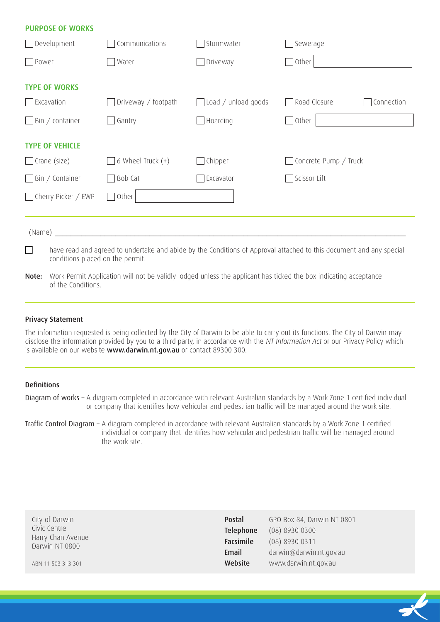| <b>PURPOSE OF WORKS</b> |                     |                     |                                                                                                                     |
|-------------------------|---------------------|---------------------|---------------------------------------------------------------------------------------------------------------------|
| $\Box$ Development      | Communications      | Stormwater          | Sewerage                                                                                                            |
| Power                   | Water               | Driveway            | Other                                                                                                               |
| <b>TYPE OF WORKS</b>    |                     |                     |                                                                                                                     |
| $\Box$ Excavation       | Driveway / footpath | Load / unload goods | Road Closure<br>Connection                                                                                          |
| $\Box$ Bin / container  | Gantry              | Hoarding            | Other<br>$\mathcal{L}$                                                                                              |
| <b>TYPE OF VEHICLE</b>  |                     |                     |                                                                                                                     |
| $\Box$ Crane (size)     | 6 Wheel Truck $(+)$ | Chipper             | Concrete Pump / Truck                                                                                               |
| $\Box$ Bin / Container  | Bob Cat             | Excavator           | Scissor Lift                                                                                                        |
| □ Cherry Picker / EWP   | Other               |                     |                                                                                                                     |
| I (Name)                |                     |                     |                                                                                                                     |
| □                       |                     |                     | have read and agreed to undertake and abide by the Conditions of Approval attached to this document and any special |
|                         |                     |                     |                                                                                                                     |

- conditions placed on the permit.
- Note: Work Permit Application will not be validly lodged unless the applicant has ticked the box indicating acceptance of the Conditions.

#### Privacy Statement

The information requested is being collected by the City of Darwin to be able to carry out its functions. The City of Darwin may disclose the information provided by you to a third party, in accordance with the NT Information Act or our Privacy Policy which is available on our website www.darwin.nt.gov.au or contact 89300 300.

# Definitions

Diagram of works - A diagram completed in accordance with relevant Australian standards by a Work Zone 1 certified individual or company that identifies how vehicular and pedestrian traffic will be managed around the work site.

Traffic Control Diagram – A diagram completed in accordance with relevant Australian standards by a Work Zone 1 certified individual or company that identifies how vehicular and pedestrian traffic will be managed around the work site.

| City of Darwin     | Postal    | GPO Box 84, Darwin NT 0801 |
|--------------------|-----------|----------------------------|
| Civic Centre       | Telephone | $(08)$ 8930 0300           |
| Harry Chan Avenue  | Facsimile | (08) 8930 0311             |
| Darwin NT 0800     | Email     | darwin@darwin.nt.gov.au    |
| ABN 11 503 313 301 | Website   | www.darwin.nt.gov.au       |
|                    |           |                            |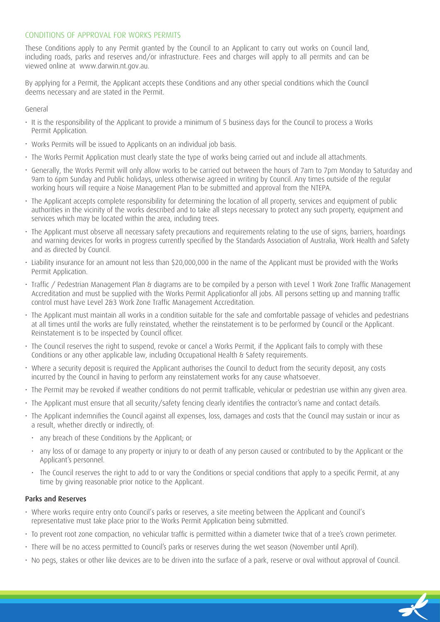# CONDITIONS OF APPROVAL FOR WORKS PERMITS

These Conditions apply to any Permit granted by the Council to an Applicant to carry out works on Council land, including roads, parks and reserves and/or infrastructure. Fees and charges will apply to all permits and can be viewed online at www.darwin.nt.gov.au.

By applying for a Permit, the Applicant accepts these Conditions and any other special conditions which the Council deems necessary and are stated in the Permit.

General

- It is the responsibility of the Applicant to provide a minimum of 5 business days for the Council to process a Works Permit Application.
- Works Permits will be issued to Applicants on an individual job basis.
- The Works Permit Application must clearly state the type of works being carried out and include all attachments.
- Generally, the Works Permit will only allow works to be carried out between the hours of 7am to 7pm Monday to Saturday and 9am to 6pm Sunday and Public holidays, unless otherwise agreed in writing by Council. Any times outside of the regular working hours will require a Noise Management Plan to be submitted and approval from the NTEPA.
- The Applicant accepts complete responsibility for determining the location of all property, services and equipment of public authorities in the vicinity of the works described and to take all steps necessary to protect any such property, equipment and services which may be located within the area, including trees.
- The Applicant must observe all necessary safety precautions and requirements relating to the use of signs, barriers, hoardings and warning devices for works in progress currently specified by the Standards Association of Australia, Work Health and Safety and as directed by Council.
- Liability insurance for an amount not less than \$20,000,000 in the name of the Applicant must be provided with the Works Permit Application.
- Traffic / Pedestrian Management Plan & diagrams are to be compiled by a person with Level 1 Work Zone Traffic Management Accreditation and must be supplied with the Works Permit Applicationfor all jobs. All persons setting up and manning traffic control must have Level 2&3 Work Zone Traffic Management Accreditation.
- The Applicant must maintain all works in a condition suitable for the safe and comfortable passage of vehicles and pedestrians at all times until the works are fully reinstated, whether the reinstatement is to be performed by Council or the Applicant. Reinstatement is to be inspected by Council officer.
- The Council reserves the right to suspend, revoke or cancel a Works Permit, if the Applicant fails to comply with these Conditions or any other applicable law, including Occupational Health & Safety requirements.
- Where a security deposit is required the Applicant authorises the Council to deduct from the security deposit, any costs incurred by the Council in having to perform any reinstatement works for any cause whatsoever.
- The Permit may be revoked if weather conditions do not permit trafficable, vehicular or pedestrian use within any given area.
- The Applicant must ensure that all security/safety fencing clearly identifies the contractor's name and contact details.
- The Applicant indemnifies the Council against all expenses, loss, damages and costs that the Council may sustain or incur as a result, whether directly or indirectly, of:
	- any breach of these Conditions by the Applicant; or
	- any loss of or damage to any property or injury to or death of any person caused or contributed to by the Applicant or the Applicant's personnel.
	- The Council reserves the right to add to or vary the Conditions or special conditions that apply to a specific Permit, at any time by giving reasonable prior notice to the Applicant.

#### Parks and Reserves

- Where works require entry onto Council's parks or reserves, a site meeting between the Applicant and Council's representative must take place prior to the Works Permit Application being submitted.
- To prevent root zone compaction, no vehicular traffic is permitted within a diameter twice that of a tree's crown perimeter.
- There will be no access permitted to Council's parks or reserves during the wet season (November until April).
- No pegs, stakes or other like devices are to be driven into the surface of a park, reserve or oval without approval of Council.